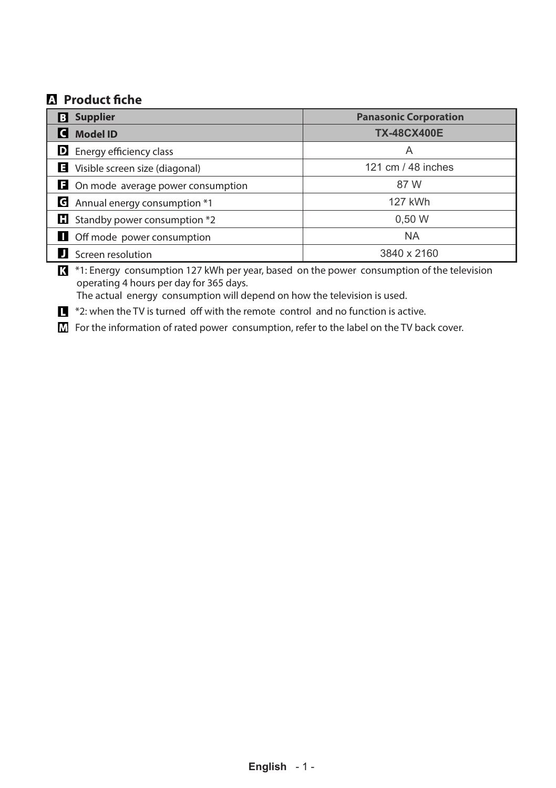## **Product fiche**

| <b>Supplier</b><br>B                      | <b>Panasonic Corporation</b> |
|-------------------------------------------|------------------------------|
| <b>Model ID</b>                           | <b>TX-48CX400E</b>           |
| <b>D</b> Energy efficiency class          | Α                            |
| Visible screen size (diagonal)            | 121 cm / 48 inches           |
| $\Box$ On mode average power consumption  | 87 W                         |
| $\epsilon$ Annual energy consumption $*1$ | 127 kWh                      |
| <b>El</b> Standby power consumption *2    | 0,50 W                       |
| <b>Off mode power consumption</b>         | <b>NA</b>                    |
| Screen resolution                         | 3840 x 2160                  |

\*1: Energy consumption 127 kWh per year, based on the power consumption of the television operating 4 hours per day for 365 days.

The actual energy consumption will depend on how the television is used.

 $\blacksquare$  \*2: when the TV is turned off with the remote control and no function is active.

 $\overline{M}$  For the information of rated power consumption, refer to the label on the TV back cover.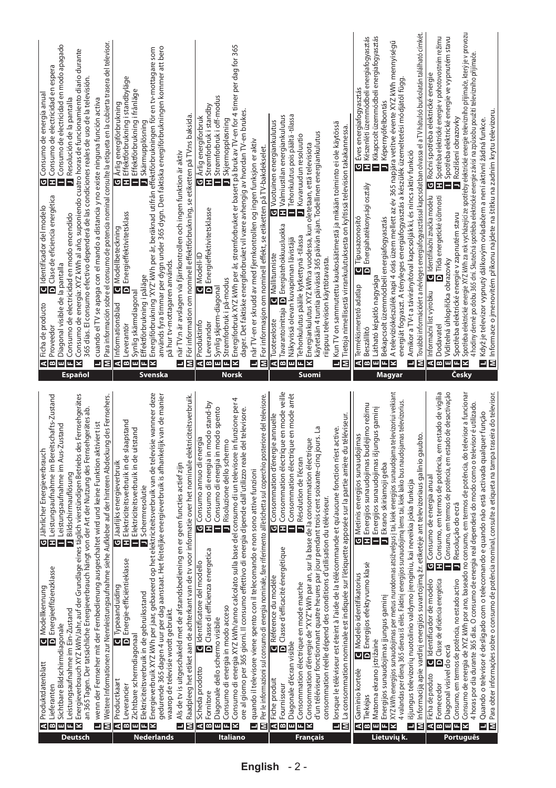| Jährlicher Energieverbrauch<br>C Modellkennung<br>D Energieeffizienzklasse<br>Produktdatenblatt                                                                                                                                                                                                                                                                                                                                                                                                                                                                                                                                                                                                                                                                                                                                                                                            | <b>Q</b> Identificador del modelo<br>D Clase de eficiencia energética<br>Ficha de producto                                                                                                                                                                                                                                                                                                                                                                                                                                                                                                                                                                                                                                                                                                                                                                               |
|--------------------------------------------------------------------------------------------------------------------------------------------------------------------------------------------------------------------------------------------------------------------------------------------------------------------------------------------------------------------------------------------------------------------------------------------------------------------------------------------------------------------------------------------------------------------------------------------------------------------------------------------------------------------------------------------------------------------------------------------------------------------------------------------------------------------------------------------------------------------------------------------|--------------------------------------------------------------------------------------------------------------------------------------------------------------------------------------------------------------------------------------------------------------------------------------------------------------------------------------------------------------------------------------------------------------------------------------------------------------------------------------------------------------------------------------------------------------------------------------------------------------------------------------------------------------------------------------------------------------------------------------------------------------------------------------------------------------------------------------------------------------------------|
| Energieverbrauch XYZ kWh/Jahr, auf der Grundlage eines täglich vierstündigen Betriebs des Fernsehgerätes<br>Leistungsaufnahme im Bereitschafts-Zustand<br>Leistungsaufnahme im Aus-Zustand<br>Bildschirmauflösung<br>이피~<br>Leistungsaufnahme im Ein-Zustand<br>Sichtbare Bildschirmdiagonale<br>Lieferanter                                                                                                                                                                                                                                                                                                                                                                                                                                                                                                                                                                               | Consumo de electricidad en modo apagado<br>Consumo de energía: XYZ kWh al año, suponiendo cuatro horas de funcionamiento diario durante<br>G Consumo de energía anual<br>∏ Consumo de electricidad en espera<br>■ Consumo de electricidad en modo ap<br>Resolución de la pantalla<br>Consumo de electricidad en modo encendido<br>Diagonal visible de la pantalla<br><b>M</b> Ficha de pro<br><b>B</b> Proveedor<br><b>B</b> Diagonal vis<br><b>B</b> Consumo d<br>⊠<br><b>Español</b>                                                                                                                                                                                                                                                                                                                                                                                   |
| $\overline{\mathbf{M}}$ Weitere Informationen zur Nennleistungsaufnahme siehe Aufkleber auf der hinteren Abdeckung des Fernsehers.<br>an 365 Tagen. Der tatsächliche Energieverbrauch hängt von der Art der Nutzung des Femsehgerätes ab.<br>wenn der Fernseher mit der Fernbedienung ausgeschaltet wird und keine Funktion aktiviert ist                                                                                                                                                                                                                                                                                                                                                                                                                                                                                                                                                  | Para información sobre el consumo de potencia nominal consulte la etiqueta en la cubierta trasera del televisor.<br>365 días. El consumo efectivo dependerá de las condiciones reales de uso de la televisión.<br>cuando el TV se apaga con el mando a distancia y no existe ninguna función activa<br>⊒ Σ                                                                                                                                                                                                                                                                                                                                                                                                                                                                                                                                                               |
| C Jaarlijks energieverbruik<br>L Elektriciteitsverbruik in de slaapstand<br>Elektriciteitsverbruik in de uitstand<br>J Schermresolutie<br>Energie-efficiëntieklasse<br>Typeaanduiding<br>Elektriciteitsverbruik in de gebruiksstand<br>Zichtbare schermdiagonaal<br>Productkaart<br>Leverancier                                                                                                                                                                                                                                                                                                                                                                                                                                                                                                                                                                                            | Energiförbrukning 'XYZ' kWh per år, beräknad utifrån effektförbrukningen för en tv-mottagare som<br>C Årlig energiförbrukning<br>T Effektförbrukning i standbyläge<br>Effektförbrukning i frånläge<br>Skärmupplösning<br><b>D</b> Energieffektivitetsklass<br>Modellbeteckning<br>Effektförbrukning i påläge<br><b>   []</b> Informationsblad<br>  B] Leverantör<br>  B] Synlig skärmdiagonal<br>  B Energiförbrukning 'XYZ<br>  B Energiförbrukning 'XYZ                                                                                                                                                                                                                                                                                                                                                                                                                |
| gebaseerd op het elektriciteitsverbruik van de televisie wanneer deze<br>gedurende 365 dagen 4 uur per dag aanstaat. Het feitelijke energieverbruik is afhankelijk van de manier<br>$\Box$ Raadpleeg het etiket aan de achterkant van de tv voor informatie over het nominale elektriciteitsverbruik.<br>Als de tv is uitgeschakeld met de afstandsbediening en er geen functies actief zijn<br>waarop de televisie wordt gebruikt.<br>Energieverbruik XYZ kWh per jaar,                                                                                                                                                                                                                                                                                                                                                                                                                   | används fyra timmar per dygn under 365 dygn. Den faktiska energiförbrukningen kommer att bero<br>∐ när TV:n är avslagen via fjärrkontrollen och ingen funktion är aktiv<br>∭ För information om nominell effektförbrukning, se etiketten på TV:ns baksida.<br>på hur tv-mottagaren används.<br>Svenska                                                                                                                                                                                                                                                                                                                                                                                                                                                                                                                                                                   |
| Consumo di energia XYZ kWh/anno calcolato sulla base del consumo di un televisore in funzione per 4<br>G Consumo annuo di energia<br>Consumo di energia in modo stand-by<br>Consumo di energia in modo spento<br>ore al giorno per 365 giorni. Il consumo effettivo di energia dipende dall'utilizzo reale del televisore.<br>Risoluzione dello schermo<br>efficienza energetica<br>dentificatore del modello<br>Consumo di energia in modo acceso<br>D Classe di<br>Diagonale dello schermo visibile<br>Scheda prodotto<br>Fornitore<br>×<br>ß                                                                                                                                                                                                                                                                                                                                            | Energiforbruk XYZ kWh per år, strømforbruket er basert på bruk av TV-en for 4 timer per dag for 365<br>Strømforbruk i off-modus<br>Strømforbruk i standby<br>dager. Det faktiske energiforbruket vil være avhengig av hvordan TV-en brukes.<br>Arlig energiforbruk<br>Skjermoppløsning<br><b>D</b> Energieffektivitetsklasse<br>Modell-ID<br>Strømforbruk i på-modus<br>Synlig skjerm-diagonal<br><b>RI</b> Produktinfo<br><b>BI</b> Leverandør<br>.<br>Bex<br><b>Norsk</b>                                                                                                                                                                                                                                                                                                                                                                                              |
| Per le informazioni sul consumo di energia nominale, fare riferimento all'etichetta sul coperchio posteriore del televisore.<br>con il telecomando e non sono attive funzioni<br>quando il televisore viene spento<br>Ξ<br>Σ                                                                                                                                                                                                                                                                                                                                                                                                                                                                                                                                                                                                                                                               | når TV-en er skrudd av med fjernkontrollen og ingen funksjon er aktiv<br>$\blacksquare$ når TV-en er skrudd av med fjernkontrollen og ingen funksjon er akt $\blacksquare$ For informasjon om nominell effekt, se etiketten på TV-bakdekselet.                                                                                                                                                                                                                                                                                                                                                                                                                                                                                                                                                                                                                           |
| G Consommation d'énergie annuelle<br>El Consommation électrique en mode veille<br>Consommation électrique en mode arrêt<br>d'un téléviseur fonctionnant quatre heures par jour pendant trois cent soixante-cinq jours. La<br>" kWh par an, sur la base de la consommation électrique<br><b>B</b> Résolution de l'écran<br>consommation réelle dépend des conditions d'utilisation du téléviseur.<br>Classe d'efficacité énergétique<br>Référence du modèle<br>Consommation électrique en mode marche<br>Consommation d'énergie de "XYZ<br>Diagonale d'écran visible<br>Fiche produit<br>Fournisseur<br>ß<br>u.<br>⋖<br>ш                                                                                                                                                                                                                                                                   | G Vuotuinen energiankulutus<br>T Valmiustilan energiankulutus<br>Tehonkulutus pois päältä-tilassa<br>käytetään 4 tuntia päivässä 365 päivän ajan. Todellinen energiankulutus<br>Kuvaruudun resoluutio<br>Energiankulutus XYZ kWh:a vuodessa, kun oletetaan, että televisiota<br>Tavarantoimittaja <b>D</b> Energiatehokkuusluokka<br>Tehonkulutus päälle kytkettynä -tilassa<br>Näkyvissä olevan kuvapinnan lävistäjä<br>Mallitunniste<br>riippuu television käyttötavasta.<br>Tuoteseloste<br>◅◚▥▥◛<br>Suomi                                                                                                                                                                                                                                                                                                                                                            |
| $\overline{\mathbf{M}}$ La consommation nominale est indiquée sur l'étiquette apposée sur la partie arrière du téléviseur.<br>aide de la télécommande et qu'aucune fonction n'est active.<br>lorsque le téléviseur est éteint à l'                                                                                                                                                                                                                                                                                                                                                                                                                                                                                                                                                                                                                                                         | Kun TV on sammutettu kaukosäätimestä ja mikään toiminto ei ole käytössä<br>$\blacksquare$ Kun TV on sammutettu kaukosäätimestä ja mikään toiminto ei ole käytössi $\boxdot$ Tietoja nimellisestä virrankulutuksesta on kyltissä television takakannessa.                                                                                                                                                                                                                                                                                                                                                                                                                                                                                                                                                                                                                 |
| XYZ kWh energijos sunaudojimas per metus nurodomas atsižvelgus į tai, kiek energijos sunaudojama televizoriui veikiant<br>4 valandas per dieną 365 dienas iš eilės. Faktinį energijos sunaudojimą lems tai, kiek laiko bus naudojamas televizorius.<br>Energijos sunaudojimas budėjimo režimu<br>Energijos sunaudojimas išjungus gaminį<br>Informaciją apie vardinį energijos suvartojimą žr. etiketėje ant televizoriaus galinio gaubto.<br><b>G</b> Metinis energijos sunaudojimas<br>LI Energijos sunaudojimas budėjim<br>Ekrano skiriamoji geba<br>išjungus televizorių nuotolinio valdymo įrenginiu, kai neveikia jokia funkcija<br>Energijos efektyvumo klasė<br>Modelio identifikatorius<br>Energijos sunaudojimas įjungus gaminį<br>Matoma ekrano įstrižainė<br>Gaminio kortelė<br>Tiekėjas<br>Ξ<br>Σ<br>ھ∣><br>ш<br>щ                                                             | További információért a névleges energiafogyasztással kapcsolatban olvassa el a TV hátulsó burkolatán található címkét<br>Kikapcsolt üzemmódbeli energiafogyasztás<br><mark>C</mark> I Éves energiafogyasztás<br>∎ Készenléti üzemmódbeli energiafogyasztás<br>∎ Kikapcsolt üzemmódbeli energiafogyasztás<br>$\pmb{\Pi}$ Termékismertető adatlap $\pmb{\Pi}$ Tipusazonosító $\pmb{\Pi}$ E éves energiafogyasztás $\pmb{\Pi}$ Beszálító $\pmb{\Pi}$ Beszálító $\pmb{\Pi}$ Beszálító adatlap $\pmb{\Pi}$ Energiafogyasztás $\pmb{\Pi}$ Beszálító adatlapogyasztás $\pmb{\Pi}$ e<br>energiát fogyaszt. A tényleges energiafogyasztás a készülék üzemeltetési módjától függ<br>$\blacksquare$ Amikor a TV-t a távirányítóval kapcsolják ki, és nincs aktiv funkció $\blacksquare$ További információért a névleges energiafogyasztással kapcolatban olvassa<br><b>Magyar</b> |
| Consumo de energia de XYZ kWh por ano, baseado no consumo, em termos de potência, do televisor a funcionar<br><mark>[6</mark> Consumo de energia anual<br>[7] Consumo, em termos de potência, em estado de vigília<br>Consumo, em termos de potência, em estado de desactivação<br>Para obter informações sobre o consumo de potência nominal, consulte a etiqueta na tampa traseira do televisor<br>4 horas por dia durante 365 dias. O consumo de energia real dependerá do modo como o televisor é utilizado.<br>Quando o televisor é desligado com o telecomando e quando não está activada qualquer função<br>■ Consumo, em termos «<br>■ Resolução do ecrã<br>Consumo, em termos de potência, no estado activo<br>Ficha de produto <b>de</b> Identificador de modelo<br>Fornecedor <b>de</b> Classe de eficiênda energética<br>Diagonal visível do ecrã<br>a,<br>Σ<br>×<br>யட<br>⊲ ∞ | Spotřeba elektrické energie XYZ kWh za rok vycházející ze spotřeby elektrické energie televizního přijímače, který je v provozu<br>C Roční spotřeba elektrické energie<br>C Ročreba elektrické energie v pohotovostním režimu<br>Spotřeba elektrické energie ve vypnutém stavu<br>4 hodiny denně po dobu 365 dní. Skutečná spotřeba elektrické energie závisí na způsobu použití tele vizního přijímače.<br>$\blacksquare$ Když je televizor vypnutý dálkovým ovladačem a není aktivní žádná funkce.<br>$\boxtimes$ Informace o jmenovítém příkonu najdete na štítku na zadním krytu televizoru.<br><b>D</b> Rozlišení obrazovky<br><mark>0.</mark> Informační list výrobku → <mark>0.</mark> Lientífikační značka mo<br>13. Dodavateli – bolicitička obrazy Tirka energetické účini<br>13. Spotřeba elektrické energie v zapnutém stavu<br>Česky                        |
|                                                                                                                                                                                                                                                                                                                                                                                                                                                                                                                                                                                                                                                                                                                                                                                                                                                                                            |                                                                                                                                                                                                                                                                                                                                                                                                                                                                                                                                                                                                                                                                                                                                                                                                                                                                          |